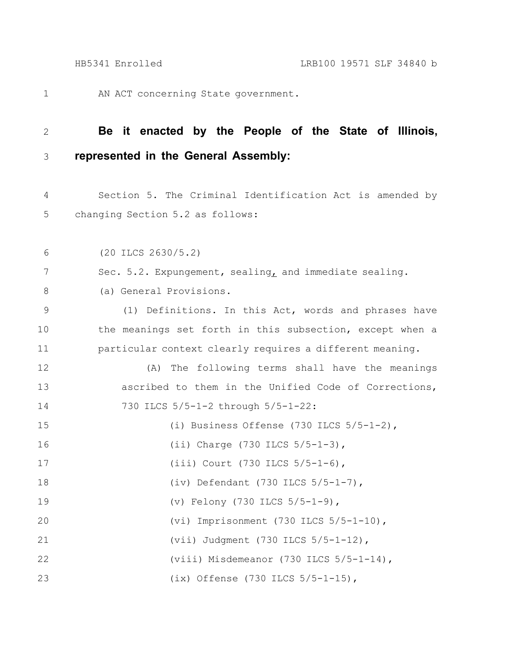AN ACT concerning State government. 1

## **Be it enacted by the People of the State of Illinois, represented in the General Assembly:** 2 3

Section 5. The Criminal Identification Act is amended by changing Section 5.2 as follows: 4 5

(20 ILCS 2630/5.2) 6

Sec. 5.2. Expungement, sealing, and immediate sealing. 7

(a) General Provisions. 8

(1) Definitions. In this Act, words and phrases have the meanings set forth in this subsection, except when a particular context clearly requires a different meaning. 9 10 11

(A) The following terms shall have the meanings ascribed to them in the Unified Code of Corrections, 730 ILCS 5/5-1-2 through 5/5-1-22: 12 13 14

| 15 | (i) Business Offense $(730$ ILCS $5/5-1-2)$ , |
|----|-----------------------------------------------|
| 16 | (ii) Charge (730 ILCS $5/5-1-3$ ),            |
| 17 | (iii) Court (730 ILCS $5/5-1-6$ ),            |
| 18 | (iv) Defendant $(730$ ILCS $5/5-1-7)$ ,       |
| 19 | (v) Felony (730 ILCS $5/5-1-9$ ),             |
| 20 | (vi) Imprisonment $(730$ ILCS $5/5-1-10)$ ,   |
| 21 | (vii) Judqment (730 ILCS $5/5 - 1 - 12$ ),    |
| 22 | (viii) Misdemeanor $(730$ ILCS $5/5-1-14)$ ,  |
| 23 | (ix) Offense $(730$ ILCS $5/5-1-15)$ ,        |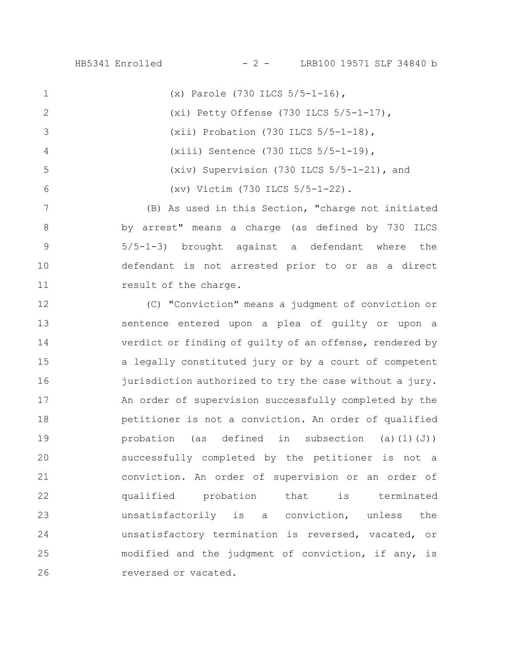HB5341 Enrolled - 2 - LRB100 19571 SLF 34840 b

(x) Parole (730 ILCS 5/5-1-16), (xi) Petty Offense (730 ILCS 5/5-1-17), (xii) Probation (730 ILCS 5/5-1-18), (xiii) Sentence (730 ILCS 5/5-1-19), (xiv) Supervision (730 ILCS 5/5-1-21), and (xv) Victim (730 ILCS 5/5-1-22). 1 2 3 4 5 6

(B) As used in this Section, "charge not initiated by arrest" means a charge (as defined by 730 ILCS 5/5-1-3) brought against a defendant where the defendant is not arrested prior to or as a direct result of the charge. 7 8 9 10 11

(C) "Conviction" means a judgment of conviction or sentence entered upon a plea of guilty or upon a verdict or finding of guilty of an offense, rendered by a legally constituted jury or by a court of competent jurisdiction authorized to try the case without a jury. An order of supervision successfully completed by the petitioner is not a conviction. An order of qualified probation (as defined in subsection (a)(1)(J)) successfully completed by the petitioner is not a conviction. An order of supervision or an order of qualified probation that is terminated unsatisfactorily is a conviction, unless the unsatisfactory termination is reversed, vacated, or modified and the judgment of conviction, if any, is reversed or vacated. 12 13 14 15 16 17 18 19 20 21 22 23 24 25 26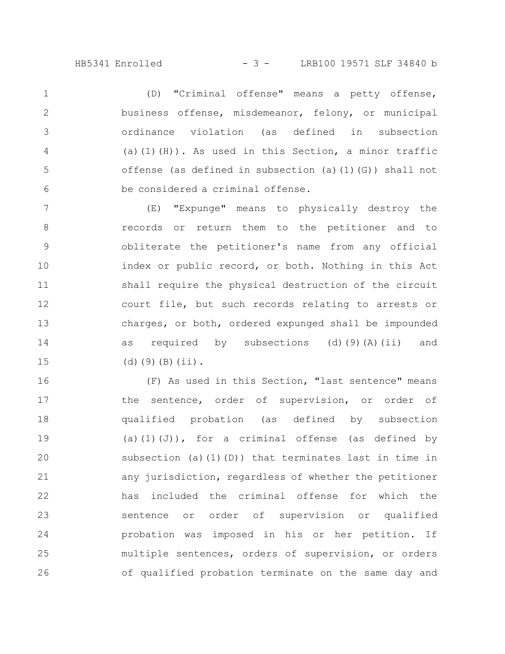## HB5341 Enrolled - 3 - LRB100 19571 SLF 34840 b

(D) "Criminal offense" means a petty offense, business offense, misdemeanor, felony, or municipal ordinance violation (as defined in subsection (a)(1)(H)). As used in this Section, a minor traffic offense (as defined in subsection (a)(1)(G)) shall not be considered a criminal offense. 1 2 3 4 5 6

(E) "Expunge" means to physically destroy the records or return them to the petitioner and to obliterate the petitioner's name from any official index or public record, or both. Nothing in this Act shall require the physical destruction of the circuit court file, but such records relating to arrests or charges, or both, ordered expunged shall be impounded as required by subsections (d)(9)(A)(ii) and (d)(9)(B)(ii). 7 8 9 10 11 12 13 14 15

(F) As used in this Section, "last sentence" means the sentence, order of supervision, or order of qualified probation (as defined by subsection (a)(1)(J)), for a criminal offense (as defined by subsection (a)(1)(D)) that terminates last in time in any jurisdiction, regardless of whether the petitioner has included the criminal offense for which the sentence or order of supervision or qualified probation was imposed in his or her petition. If multiple sentences, orders of supervision, or orders of qualified probation terminate on the same day and 16 17 18 19 20 21 22 23 24 25 26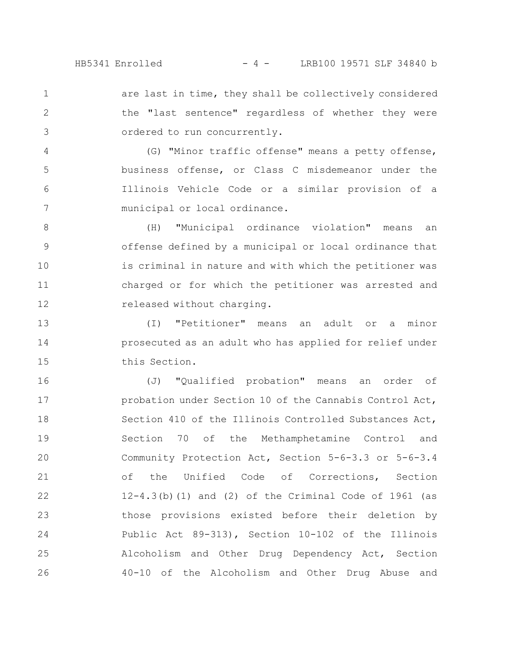are last in time, they shall be collectively considered the "last sentence" regardless of whether they were ordered to run concurrently. 1 2 3

(G) "Minor traffic offense" means a petty offense, business offense, or Class C misdemeanor under the Illinois Vehicle Code or a similar provision of a municipal or local ordinance. 4 5 6 7

(H) "Municipal ordinance violation" means an offense defined by a municipal or local ordinance that is criminal in nature and with which the petitioner was charged or for which the petitioner was arrested and released without charging. 8 9 10 11 12

(I) "Petitioner" means an adult or a minor prosecuted as an adult who has applied for relief under this Section. 13 14 15

(J) "Qualified probation" means an order of probation under Section 10 of the Cannabis Control Act, Section 410 of the Illinois Controlled Substances Act, Section 70 of the Methamphetamine Control and Community Protection Act, Section 5-6-3.3 or 5-6-3.4 of the Unified Code of Corrections, Section  $12-4.3$  (b)  $(1)$  and  $(2)$  of the Criminal Code of 1961 (as those provisions existed before their deletion by Public Act 89-313), Section 10-102 of the Illinois Alcoholism and Other Drug Dependency Act, Section 40-10 of the Alcoholism and Other Drug Abuse and 16 17 18 19 20 21 22 23 24 25 26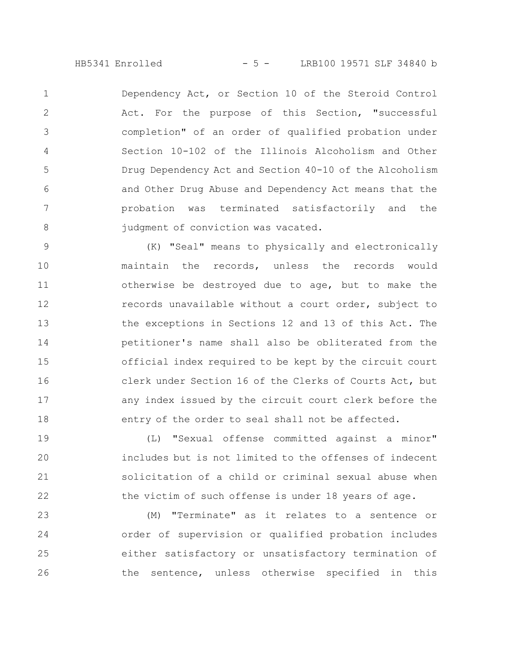HB5341 Enrolled - 5 - LRB100 19571 SLF 34840 b

Dependency Act, or Section 10 of the Steroid Control Act. For the purpose of this Section, "successful completion" of an order of qualified probation under Section 10-102 of the Illinois Alcoholism and Other Drug Dependency Act and Section 40-10 of the Alcoholism and Other Drug Abuse and Dependency Act means that the probation was terminated satisfactorily and the judgment of conviction was vacated. 1 2 3 4 5 6 7 8

(K) "Seal" means to physically and electronically maintain the records, unless the records would otherwise be destroyed due to age, but to make the records unavailable without a court order, subject to the exceptions in Sections 12 and 13 of this Act. The petitioner's name shall also be obliterated from the official index required to be kept by the circuit court clerk under Section 16 of the Clerks of Courts Act, but any index issued by the circuit court clerk before the entry of the order to seal shall not be affected. 9 10 11 12 13 14 15 16 17 18

(L) "Sexual offense committed against a minor" includes but is not limited to the offenses of indecent solicitation of a child or criminal sexual abuse when the victim of such offense is under 18 years of age. 19 20 21 22

(M) "Terminate" as it relates to a sentence or order of supervision or qualified probation includes either satisfactory or unsatisfactory termination of the sentence, unless otherwise specified in this 23 24 25 26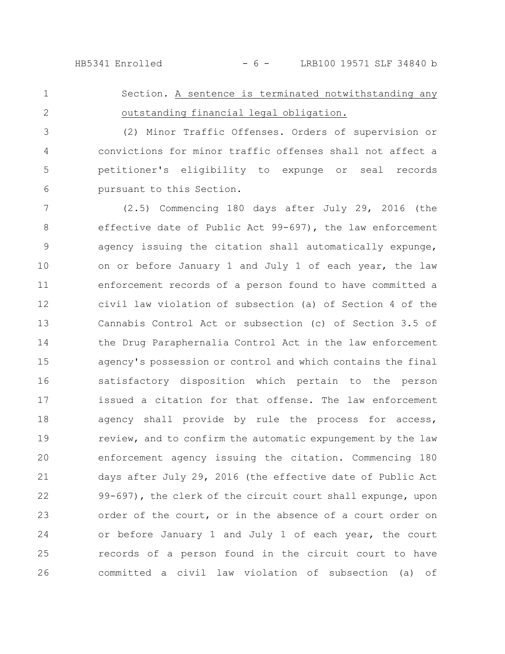HB5341 Enrolled - 6 - LRB100 19571 SLF 34840 b

Section. A sentence is terminated notwithstanding any outstanding financial legal obligation. 1 2

(2) Minor Traffic Offenses. Orders of supervision or convictions for minor traffic offenses shall not affect a petitioner's eligibility to expunge or seal records pursuant to this Section. 3 4 5 6

(2.5) Commencing 180 days after July 29, 2016 (the effective date of Public Act 99-697), the law enforcement agency issuing the citation shall automatically expunge, on or before January 1 and July 1 of each year, the law enforcement records of a person found to have committed a civil law violation of subsection (a) of Section 4 of the Cannabis Control Act or subsection (c) of Section 3.5 of the Drug Paraphernalia Control Act in the law enforcement agency's possession or control and which contains the final satisfactory disposition which pertain to the person issued a citation for that offense. The law enforcement agency shall provide by rule the process for access, review, and to confirm the automatic expungement by the law enforcement agency issuing the citation. Commencing 180 days after July 29, 2016 (the effective date of Public Act 99-697), the clerk of the circuit court shall expunge, upon order of the court, or in the absence of a court order on or before January 1 and July 1 of each year, the court records of a person found in the circuit court to have committed a civil law violation of subsection (a) of 7 8 9 10 11 12 13 14 15 16 17 18 19 20 21 22 23 24 25 26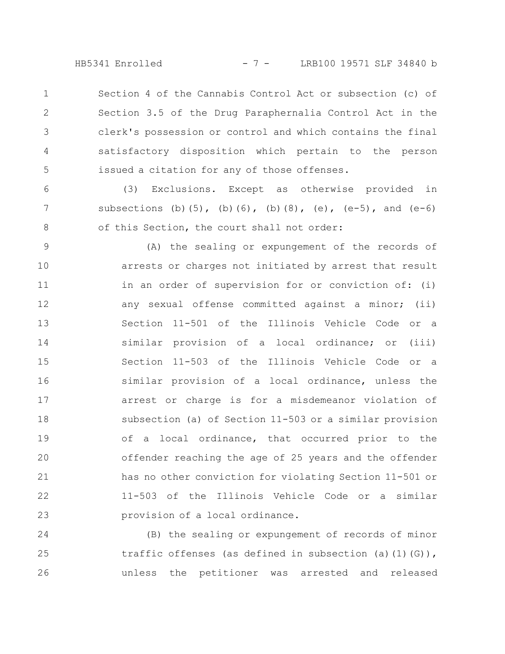HB5341 Enrolled - 7 - LRB100 19571 SLF 34840 b

Section 4 of the Cannabis Control Act or subsection (c) of Section 3.5 of the Drug Paraphernalia Control Act in the clerk's possession or control and which contains the final satisfactory disposition which pertain to the person issued a citation for any of those offenses. 1 2 3 4 5

(3) Exclusions. Except as otherwise provided in subsections (b)(5), (b)(6), (b)(8), (e),  $(e-5)$ , and  $(e-6)$ of this Section, the court shall not order: 6 7 8

(A) the sealing or expungement of the records of arrests or charges not initiated by arrest that result in an order of supervision for or conviction of: (i) any sexual offense committed against a minor; (ii) Section 11-501 of the Illinois Vehicle Code or a similar provision of a local ordinance; or (iii) Section 11-503 of the Illinois Vehicle Code or a similar provision of a local ordinance, unless the arrest or charge is for a misdemeanor violation of subsection (a) of Section 11-503 or a similar provision of a local ordinance, that occurred prior to the offender reaching the age of 25 years and the offender has no other conviction for violating Section 11-501 or 11-503 of the Illinois Vehicle Code or a similar provision of a local ordinance. 9 10 11 12 13 14 15 16 17 18 19 20 21 22 23

(B) the sealing or expungement of records of minor traffic offenses (as defined in subsection (a)(1)(G)), unless the petitioner was arrested and released 24 25 26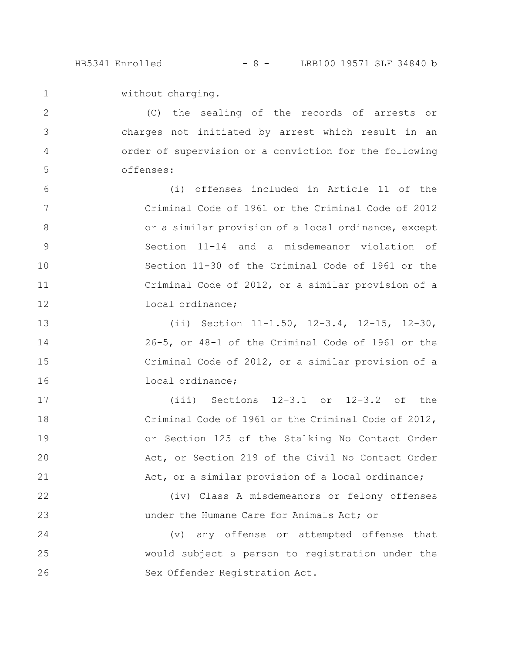HB5341 Enrolled - 8 - LRB100 19571 SLF 34840 b

without charging. 1

2

3

4

5

17

18

19

20

21

22

23

(C) the sealing of the records of arrests or charges not initiated by arrest which result in an order of supervision or a conviction for the following offenses:

(i) offenses included in Article 11 of the Criminal Code of 1961 or the Criminal Code of 2012 or a similar provision of a local ordinance, except Section 11-14 and a misdemeanor violation of Section 11-30 of the Criminal Code of 1961 or the Criminal Code of 2012, or a similar provision of a local ordinance; 6 7 8 9 10 11 12

(ii) Section 11-1.50, 12-3.4, 12-15, 12-30, 26-5, or 48-1 of the Criminal Code of 1961 or the Criminal Code of 2012, or a similar provision of a local ordinance; 13 14 15 16

> (iii) Sections 12-3.1 or 12-3.2 of the Criminal Code of 1961 or the Criminal Code of 2012, or Section 125 of the Stalking No Contact Order Act, or Section 219 of the Civil No Contact Order Act, or a similar provision of a local ordinance;

(iv) Class A misdemeanors or felony offenses under the Humane Care for Animals Act; or

(v) any offense or attempted offense that would subject a person to registration under the Sex Offender Registration Act. 24 25 26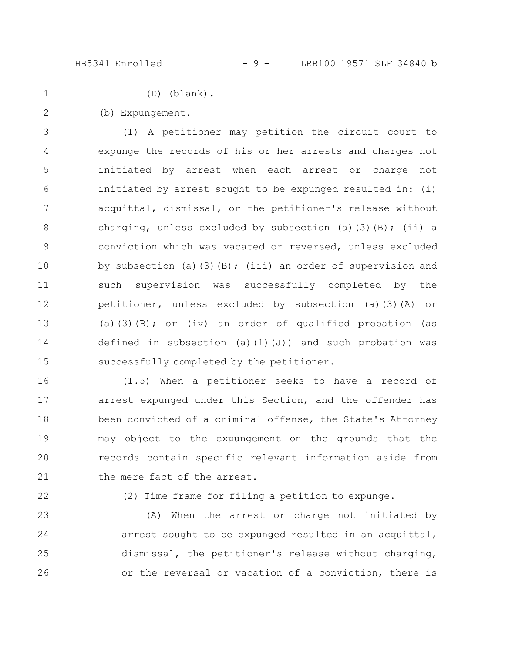HB5341 Enrolled - 9 - LRB100 19571 SLF 34840 b

1

(D) (blank).

(b) Expungement. 2

(1) A petitioner may petition the circuit court to expunge the records of his or her arrests and charges not initiated by arrest when each arrest or charge not initiated by arrest sought to be expunged resulted in: (i) acquittal, dismissal, or the petitioner's release without charging, unless excluded by subsection (a)(3)(B); (ii) a conviction which was vacated or reversed, unless excluded by subsection (a)(3)(B); (iii) an order of supervision and such supervision was successfully completed by the petitioner, unless excluded by subsection (a)(3)(A) or (a)(3)(B); or (iv) an order of qualified probation (as defined in subsection (a)(1)(J)) and such probation was successfully completed by the petitioner. 3 4 5 6 7 8 9 10 11 12 13 14 15

(1.5) When a petitioner seeks to have a record of arrest expunged under this Section, and the offender has been convicted of a criminal offense, the State's Attorney may object to the expungement on the grounds that the records contain specific relevant information aside from the mere fact of the arrest. 16 17 18 19 20 21

22

(2) Time frame for filing a petition to expunge.

(A) When the arrest or charge not initiated by arrest sought to be expunged resulted in an acquittal, dismissal, the petitioner's release without charging, or the reversal or vacation of a conviction, there is 23 24 25 26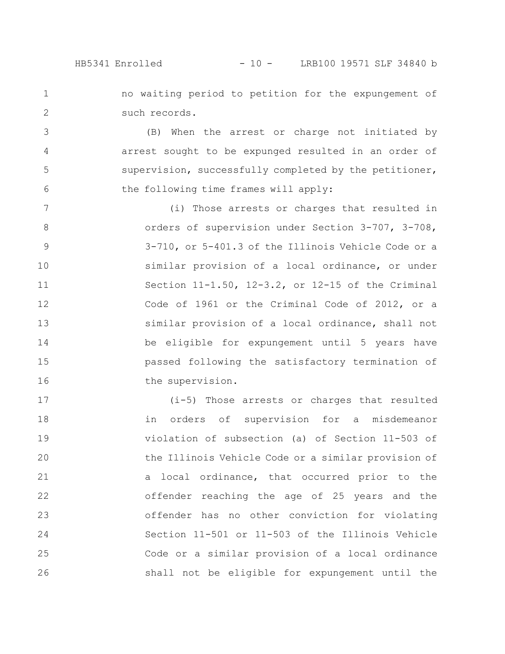1

2

no waiting period to petition for the expungement of such records.

(B) When the arrest or charge not initiated by arrest sought to be expunged resulted in an order of supervision, successfully completed by the petitioner, the following time frames will apply: 3 4 5 6

(i) Those arrests or charges that resulted in orders of supervision under Section 3-707, 3-708, 3-710, or 5-401.3 of the Illinois Vehicle Code or a similar provision of a local ordinance, or under Section 11-1.50, 12-3.2, or 12-15 of the Criminal Code of 1961 or the Criminal Code of 2012, or a similar provision of a local ordinance, shall not be eligible for expungement until 5 years have passed following the satisfactory termination of the supervision. 7 8 9 10 11 12 13 14 15 16

(i-5) Those arrests or charges that resulted in orders of supervision for a misdemeanor violation of subsection (a) of Section 11-503 of the Illinois Vehicle Code or a similar provision of a local ordinance, that occurred prior to the offender reaching the age of 25 years and the offender has no other conviction for violating Section 11-501 or 11-503 of the Illinois Vehicle Code or a similar provision of a local ordinance shall not be eligible for expungement until the 17 18 19 20 21 22 23 24 25 26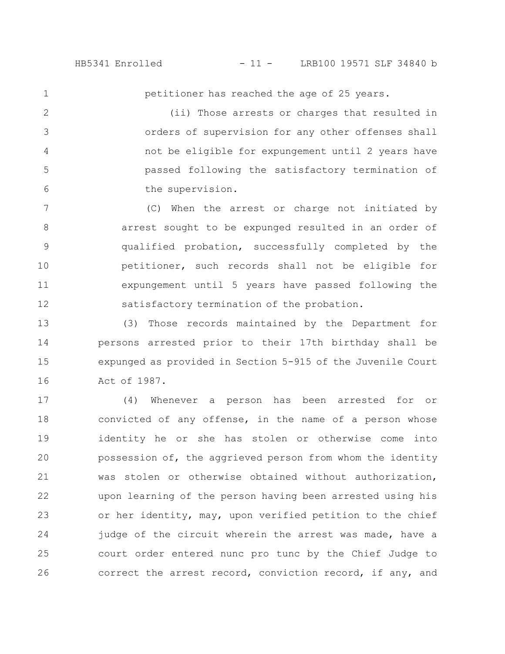1

petitioner has reached the age of 25 years.

(ii) Those arrests or charges that resulted in orders of supervision for any other offenses shall not be eligible for expungement until 2 years have passed following the satisfactory termination of the supervision. 2 3 4 5 6

(C) When the arrest or charge not initiated by arrest sought to be expunged resulted in an order of qualified probation, successfully completed by the petitioner, such records shall not be eligible for expungement until 5 years have passed following the satisfactory termination of the probation. 7 8 9 10 11 12

(3) Those records maintained by the Department for persons arrested prior to their 17th birthday shall be expunged as provided in Section 5-915 of the Juvenile Court Act of 1987. 13 14 15 16

(4) Whenever a person has been arrested for or convicted of any offense, in the name of a person whose identity he or she has stolen or otherwise come into possession of, the aggrieved person from whom the identity was stolen or otherwise obtained without authorization, upon learning of the person having been arrested using his or her identity, may, upon verified petition to the chief judge of the circuit wherein the arrest was made, have a court order entered nunc pro tunc by the Chief Judge to correct the arrest record, conviction record, if any, and 17 18 19 20 21 22 23 24 25 26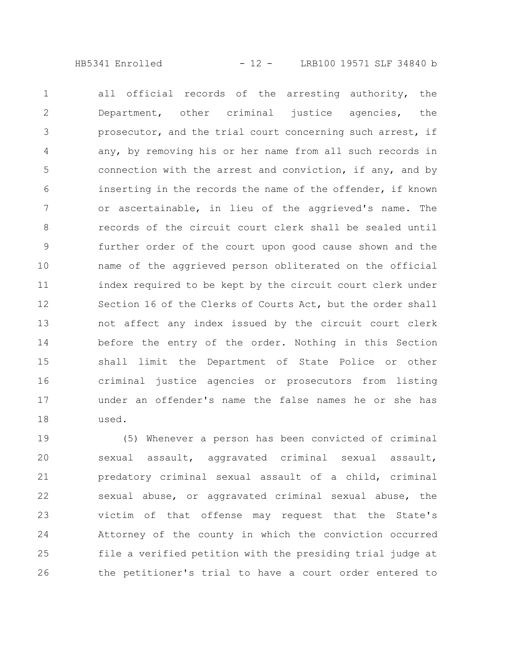HB5341 Enrolled - 12 - LRB100 19571 SLF 34840 b

all official records of the arresting authority, the Department, other criminal justice agencies, the prosecutor, and the trial court concerning such arrest, if any, by removing his or her name from all such records in connection with the arrest and conviction, if any, and by inserting in the records the name of the offender, if known or ascertainable, in lieu of the aggrieved's name. The records of the circuit court clerk shall be sealed until further order of the court upon good cause shown and the name of the aggrieved person obliterated on the official index required to be kept by the circuit court clerk under Section 16 of the Clerks of Courts Act, but the order shall not affect any index issued by the circuit court clerk before the entry of the order. Nothing in this Section shall limit the Department of State Police or other criminal justice agencies or prosecutors from listing under an offender's name the false names he or she has used. 1 2 3 4 5 6 7 8 9 10 11 12 13 14 15 16 17 18

(5) Whenever a person has been convicted of criminal sexual assault, aggravated criminal sexual assault, predatory criminal sexual assault of a child, criminal sexual abuse, or aggravated criminal sexual abuse, the victim of that offense may request that the State's Attorney of the county in which the conviction occurred file a verified petition with the presiding trial judge at the petitioner's trial to have a court order entered to 19 20 21 22 23 24 25 26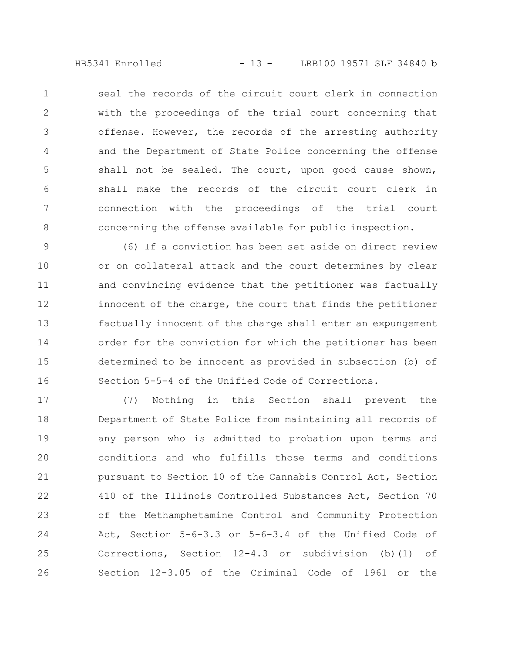HB5341 Enrolled - 13 - LRB100 19571 SLF 34840 b

seal the records of the circuit court clerk in connection with the proceedings of the trial court concerning that offense. However, the records of the arresting authority and the Department of State Police concerning the offense shall not be sealed. The court, upon good cause shown, shall make the records of the circuit court clerk in connection with the proceedings of the trial court concerning the offense available for public inspection. 1 2 3 4 5 6 7 8

(6) If a conviction has been set aside on direct review or on collateral attack and the court determines by clear and convincing evidence that the petitioner was factually innocent of the charge, the court that finds the petitioner factually innocent of the charge shall enter an expungement order for the conviction for which the petitioner has been determined to be innocent as provided in subsection (b) of Section 5-5-4 of the Unified Code of Corrections. 9 10 11 12 13 14 15 16

(7) Nothing in this Section shall prevent the Department of State Police from maintaining all records of any person who is admitted to probation upon terms and conditions and who fulfills those terms and conditions pursuant to Section 10 of the Cannabis Control Act, Section 410 of the Illinois Controlled Substances Act, Section 70 of the Methamphetamine Control and Community Protection Act, Section 5-6-3.3 or 5-6-3.4 of the Unified Code of Corrections, Section 12-4.3 or subdivision (b)(1) of Section 12-3.05 of the Criminal Code of 1961 or the 17 18 19 20 21 22 23 24 25 26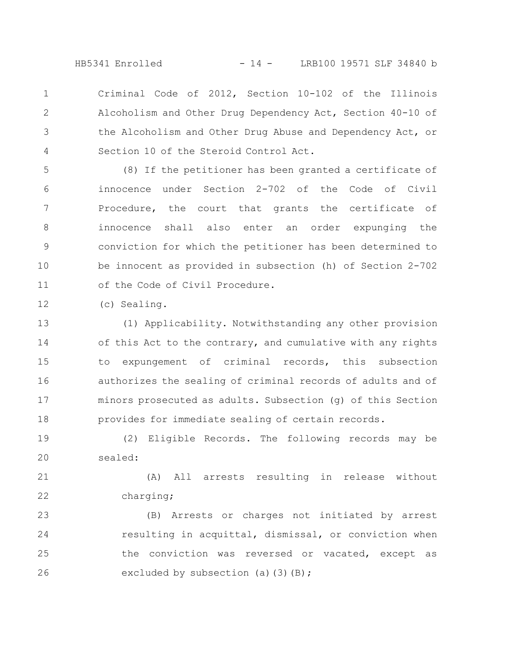HB5341 Enrolled - 14 - LRB100 19571 SLF 34840 b

Criminal Code of 2012, Section 10-102 of the Illinois Alcoholism and Other Drug Dependency Act, Section 40-10 of the Alcoholism and Other Drug Abuse and Dependency Act, or Section 10 of the Steroid Control Act. 1 2 3 4

(8) If the petitioner has been granted a certificate of innocence under Section 2-702 of the Code of Civil Procedure, the court that grants the certificate of innocence shall also enter an order expunging the conviction for which the petitioner has been determined to be innocent as provided in subsection (h) of Section 2-702 of the Code of Civil Procedure. 5 6 7 8 9 10 11

(c) Sealing. 12

(1) Applicability. Notwithstanding any other provision of this Act to the contrary, and cumulative with any rights to expungement of criminal records, this subsection authorizes the sealing of criminal records of adults and of minors prosecuted as adults. Subsection (g) of this Section provides for immediate sealing of certain records. 13 14 15 16 17 18

(2) Eligible Records. The following records may be sealed: 19 20

(A) All arrests resulting in release without charging; 21 22

(B) Arrests or charges not initiated by arrest resulting in acquittal, dismissal, or conviction when the conviction was reversed or vacated, except as excluded by subsection (a)(3)(B); 23 24 25 26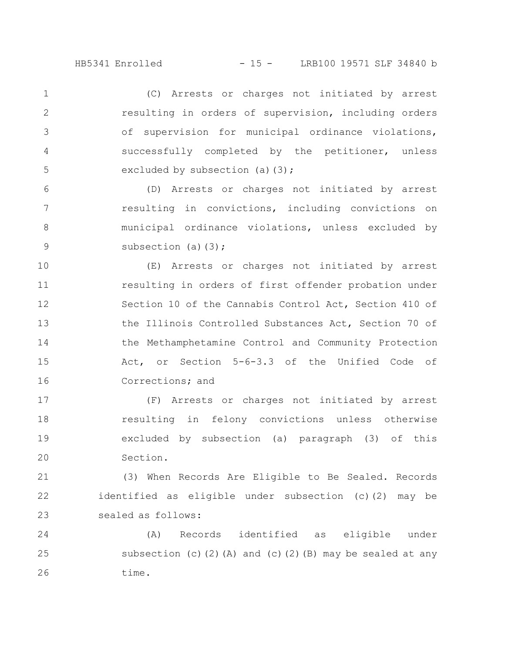(C) Arrests or charges not initiated by arrest resulting in orders of supervision, including orders of supervision for municipal ordinance violations, successfully completed by the petitioner, unless excluded by subsection (a) $(3);$ 1 2 3 4 5

(D) Arrests or charges not initiated by arrest resulting in convictions, including convictions on municipal ordinance violations, unless excluded by subsection (a) $(3)$ ; 6 7 8 9

(E) Arrests or charges not initiated by arrest resulting in orders of first offender probation under Section 10 of the Cannabis Control Act, Section 410 of the Illinois Controlled Substances Act, Section 70 of the Methamphetamine Control and Community Protection Act, or Section 5-6-3.3 of the Unified Code of Corrections; and 10 11 12 13 14 15 16

(F) Arrests or charges not initiated by arrest resulting in felony convictions unless otherwise excluded by subsection (a) paragraph (3) of this Section. 17 18 19 20

(3) When Records Are Eligible to Be Sealed. Records identified as eligible under subsection (c)(2) may be sealed as follows: 21 22 23

(A) Records identified as eligible under subsection (c)(2)(A) and (c)(2)(B) may be sealed at any time. 24 25 26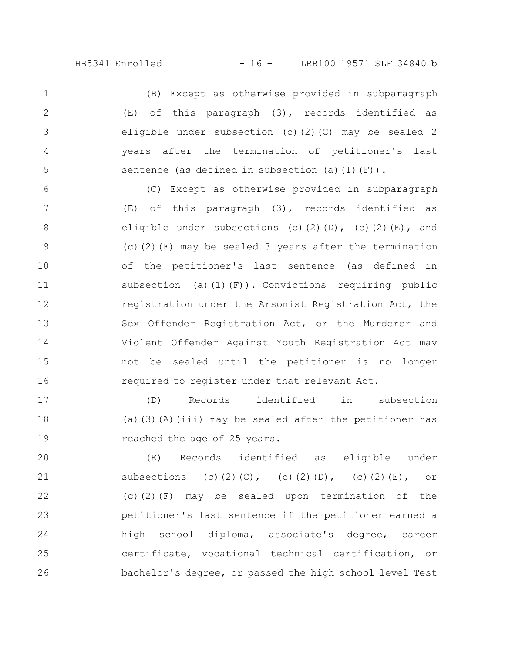HB5341 Enrolled - 16 - LRB100 19571 SLF 34840 b

(B) Except as otherwise provided in subparagraph (E) of this paragraph (3), records identified as eligible under subsection (c)(2)(C) may be sealed 2 years after the termination of petitioner's last sentence (as defined in subsection (a)(1)(F)). 1 2 3 4 5

(C) Except as otherwise provided in subparagraph (E) of this paragraph (3), records identified as eligible under subsections (c)(2)(D), (c)(2)(E), and (c)(2)(F) may be sealed 3 years after the termination of the petitioner's last sentence (as defined in subsection (a) $(1)(F)$ ). Convictions requiring public registration under the Arsonist Registration Act, the Sex Offender Registration Act, or the Murderer and Violent Offender Against Youth Registration Act may not be sealed until the petitioner is no longer required to register under that relevant Act. 6 7 8 9 10 11 12 13 14 15 16

(D) Records identified in subsection (a)(3)(A)(iii) may be sealed after the petitioner has reached the age of 25 years. 17 18 19

(E) Records identified as eligible under subsections (c)(2)(C), (c)(2)(D), (c)(2)(E), or (c)(2)(F) may be sealed upon termination of the petitioner's last sentence if the petitioner earned a high school diploma, associate's degree, career certificate, vocational technical certification, or bachelor's degree, or passed the high school level Test 20 21 22 23 24 25 26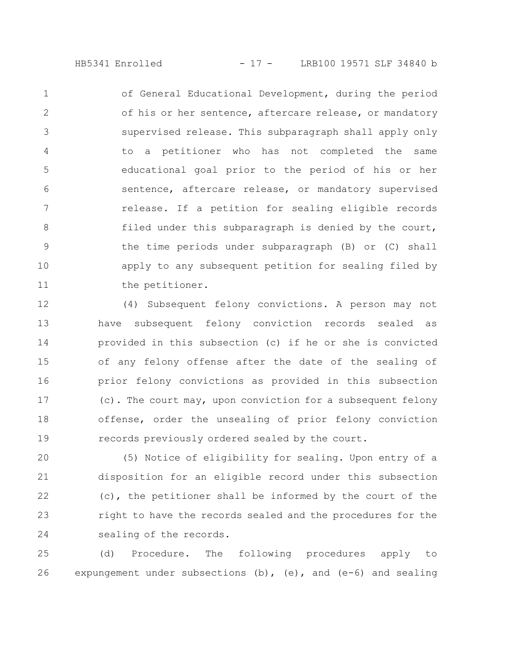HB5341 Enrolled - 17 - LRB100 19571 SLF 34840 b

of General Educational Development, during the period of his or her sentence, aftercare release, or mandatory supervised release. This subparagraph shall apply only to a petitioner who has not completed the same educational goal prior to the period of his or her sentence, aftercare release, or mandatory supervised release. If a petition for sealing eligible records filed under this subparagraph is denied by the court, the time periods under subparagraph (B) or (C) shall apply to any subsequent petition for sealing filed by the petitioner. 1 2 3 4 5 6 7 8 9 10 11

(4) Subsequent felony convictions. A person may not have subsequent felony conviction records sealed as provided in this subsection (c) if he or she is convicted of any felony offense after the date of the sealing of prior felony convictions as provided in this subsection (c). The court may, upon conviction for a subsequent felony offense, order the unsealing of prior felony conviction records previously ordered sealed by the court. 12 13 14 15 16 17 18 19

(5) Notice of eligibility for sealing. Upon entry of a disposition for an eligible record under this subsection (c), the petitioner shall be informed by the court of the right to have the records sealed and the procedures for the sealing of the records. 20 21 22 23 24

(d) Procedure. The following procedures apply to expungement under subsections (b), (e), and (e-6) and sealing 25 26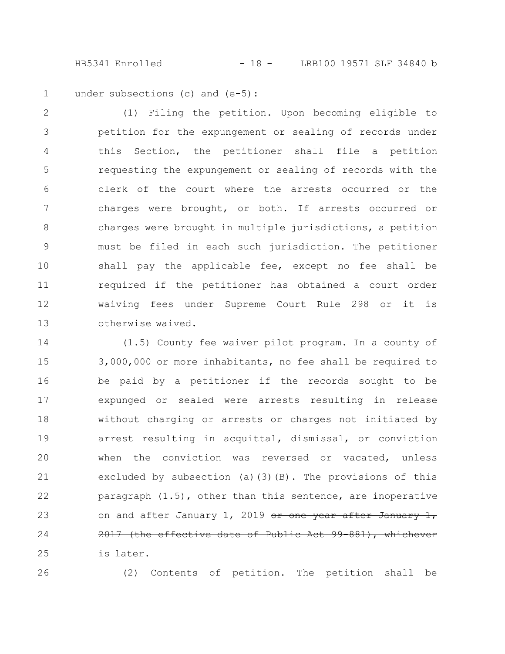HB5341 Enrolled - 18 - LRB100 19571 SLF 34840 b

under subsections (c) and (e-5): 1

(1) Filing the petition. Upon becoming eligible to petition for the expungement or sealing of records under this Section, the petitioner shall file a petition requesting the expungement or sealing of records with the clerk of the court where the arrests occurred or the charges were brought, or both. If arrests occurred or charges were brought in multiple jurisdictions, a petition must be filed in each such jurisdiction. The petitioner shall pay the applicable fee, except no fee shall be required if the petitioner has obtained a court order waiving fees under Supreme Court Rule 298 or it is otherwise waived. 2 3 4 5 6 7 8 9 10 11 12 13

(1.5) County fee waiver pilot program. In a county of 3,000,000 or more inhabitants, no fee shall be required to be paid by a petitioner if the records sought to be expunged or sealed were arrests resulting in release without charging or arrests or charges not initiated by arrest resulting in acquittal, dismissal, or conviction when the conviction was reversed or vacated, unless excluded by subsection (a)(3)(B). The provisions of this paragraph (1.5), other than this sentence, are inoperative on and after January 1, 2019 or one year after January 1, 2017 (the effective date of Public Act 99-881), whichever is later. 14 15 16 17 18 19 20 21 22 23 24 25

26

(2) Contents of petition. The petition shall be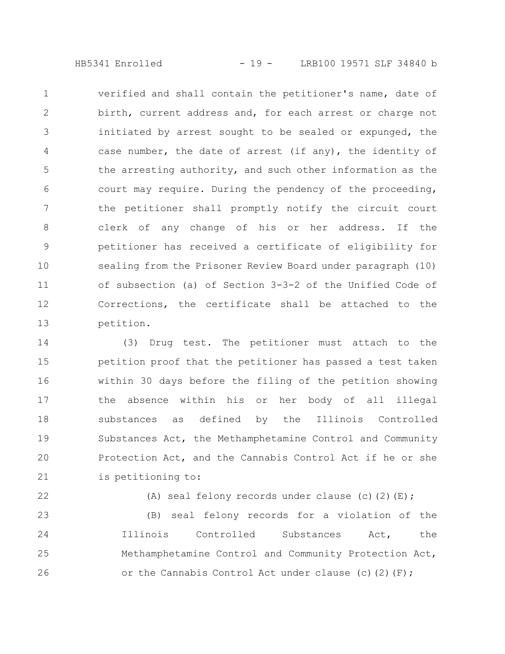HB5341 Enrolled - 19 - LRB100 19571 SLF 34840 b

verified and shall contain the petitioner's name, date of birth, current address and, for each arrest or charge not initiated by arrest sought to be sealed or expunged, the case number, the date of arrest (if any), the identity of the arresting authority, and such other information as the court may require. During the pendency of the proceeding, the petitioner shall promptly notify the circuit court clerk of any change of his or her address. If the petitioner has received a certificate of eligibility for sealing from the Prisoner Review Board under paragraph (10) of subsection (a) of Section 3-3-2 of the Unified Code of Corrections, the certificate shall be attached to the petition. 1 2 3 4 5 6 7 8 9 10 11 12 13

(3) Drug test. The petitioner must attach to the petition proof that the petitioner has passed a test taken within 30 days before the filing of the petition showing the absence within his or her body of all illegal substances as defined by the Illinois Controlled Substances Act, the Methamphetamine Control and Community Protection Act, and the Cannabis Control Act if he or she is petitioning to: 14 15 16 17 18 19 20 21

22

(A) seal felony records under clause (c)(2)(E);

(B) seal felony records for a violation of the Illinois Controlled Substances Act, the Methamphetamine Control and Community Protection Act, or the Cannabis Control Act under clause (c)(2)(F); 23 24 25 26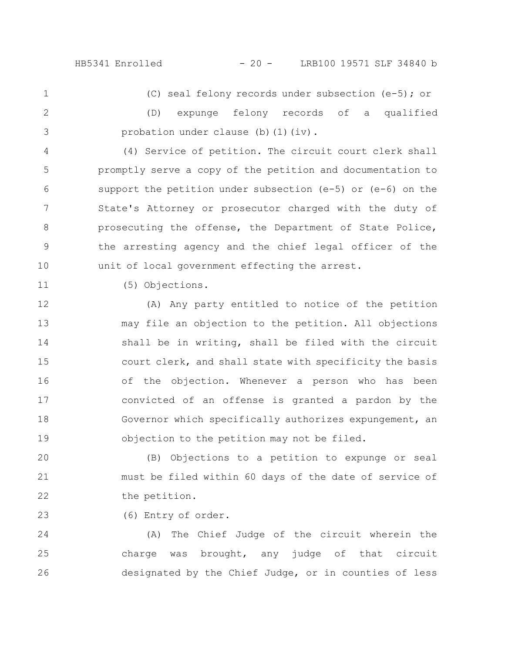HB5341 Enrolled - 20 - LRB100 19571 SLF 34840 b

(C) seal felony records under subsection (e-5); or

(D) expunge felony records of a qualified probation under clause (b) (1)(iv). 2 3

(4) Service of petition. The circuit court clerk shall promptly serve a copy of the petition and documentation to support the petition under subsection (e-5) or (e-6) on the State's Attorney or prosecutor charged with the duty of prosecuting the offense, the Department of State Police, the arresting agency and the chief legal officer of the unit of local government effecting the arrest. 4 5 6 7 8 9 10

11

23

1

(5) Objections.

(A) Any party entitled to notice of the petition may file an objection to the petition. All objections shall be in writing, shall be filed with the circuit court clerk, and shall state with specificity the basis of the objection. Whenever a person who has been convicted of an offense is granted a pardon by the Governor which specifically authorizes expungement, an objection to the petition may not be filed. 12 13 14 15 16 17 18 19

(B) Objections to a petition to expunge or seal must be filed within 60 days of the date of service of the petition. 20 21 22

(6) Entry of order.

(A) The Chief Judge of the circuit wherein the charge was brought, any judge of that circuit designated by the Chief Judge, or in counties of less 24 25 26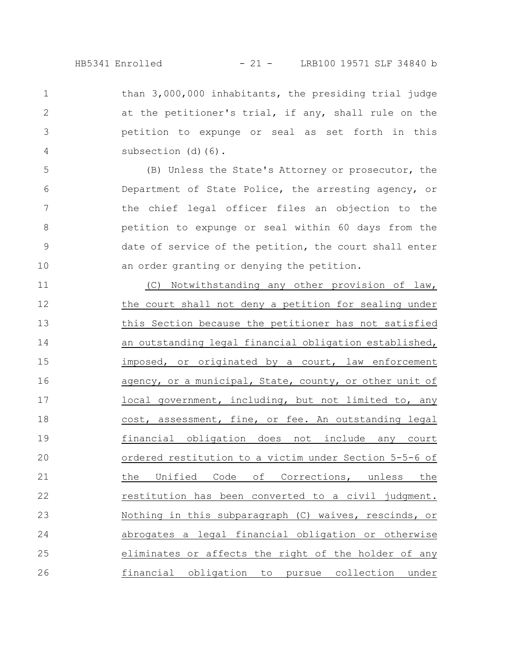HB5341 Enrolled - 21 - LRB100 19571 SLF 34840 b

than 3,000,000 inhabitants, the presiding trial judge at the petitioner's trial, if any, shall rule on the petition to expunge or seal as set forth in this subsection (d)(6).

1

2

3

4

5

6

7

8

9

10

(B) Unless the State's Attorney or prosecutor, the Department of State Police, the arresting agency, or the chief legal officer files an objection to the petition to expunge or seal within 60 days from the date of service of the petition, the court shall enter an order granting or denying the petition.

(C) Notwithstanding any other provision of law, the court shall not deny a petition for sealing under this Section because the petitioner has not satisfied an outstanding legal financial obligation established, imposed, or originated by a court, law enforcement agency, or a municipal, State, county, or other unit of local government, including, but not limited to, any cost, assessment, fine, or fee. An outstanding legal financial obligation does not include any court ordered restitution to a victim under Section 5-5-6 of the Unified Code of Corrections, unless the restitution has been converted to a civil judgment. Nothing in this subparagraph (C) waives, rescinds, or abrogates a legal financial obligation or otherwise eliminates or affects the right of the holder of any financial obligation to pursue collection under 11 12 13 14 15 16 17 18 19 20 21 22 23 24 25 26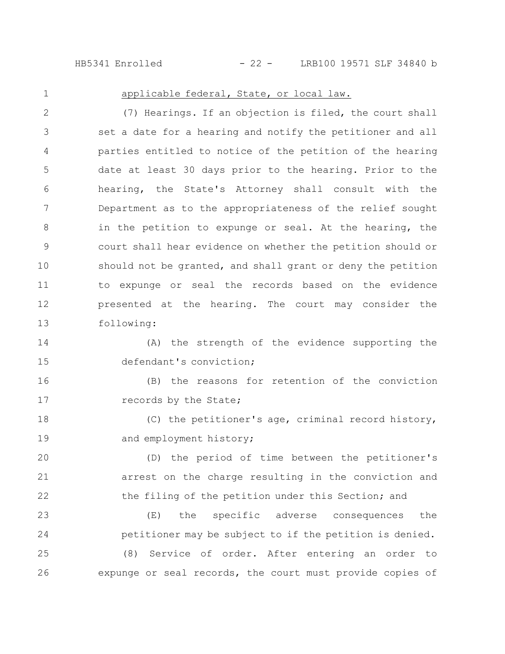HB5341 Enrolled - 22 - LRB100 19571 SLF 34840 b

1

## applicable federal, State, or local law.

(7) Hearings. If an objection is filed, the court shall set a date for a hearing and notify the petitioner and all parties entitled to notice of the petition of the hearing date at least 30 days prior to the hearing. Prior to the hearing, the State's Attorney shall consult with the Department as to the appropriateness of the relief sought in the petition to expunge or seal. At the hearing, the court shall hear evidence on whether the petition should or should not be granted, and shall grant or deny the petition to expunge or seal the records based on the evidence presented at the hearing. The court may consider the following: 2 3 4 5 6 7 8 9 10 11 12 13

(A) the strength of the evidence supporting the defendant's conviction; 14 15

(B) the reasons for retention of the conviction records by the State; 16 17

(C) the petitioner's age, criminal record history, and employment history; 18 19

(D) the period of time between the petitioner's arrest on the charge resulting in the conviction and the filing of the petition under this Section; and 20 21 22

(E) the specific adverse consequences the petitioner may be subject to if the petition is denied. (8) Service of order. After entering an order to expunge or seal records, the court must provide copies of 23 24 25 26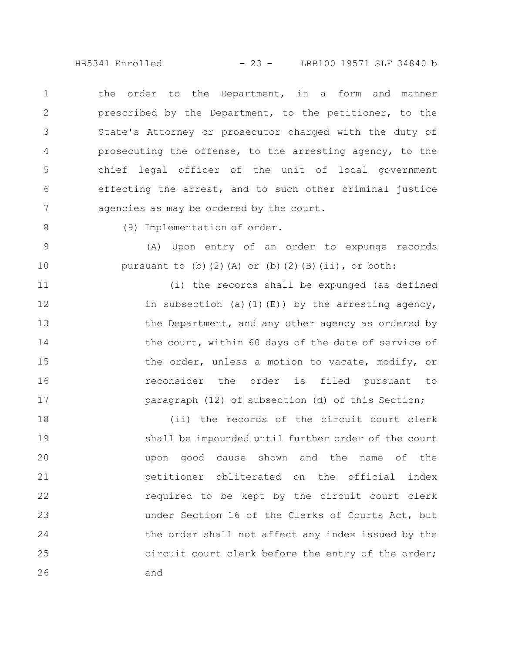HB5341 Enrolled - 23 - LRB100 19571 SLF 34840 b

the order to the Department, in a form and manner prescribed by the Department, to the petitioner, to the State's Attorney or prosecutor charged with the duty of prosecuting the offense, to the arresting agency, to the chief legal officer of the unit of local government effecting the arrest, and to such other criminal justice agencies as may be ordered by the court. 1 2 3 4 5 6 7

8

9

10

(9) Implementation of order.

(A) Upon entry of an order to expunge records pursuant to (b)(2)(A) or (b)(2)(B)(ii), or both:

(i) the records shall be expunged (as defined in subsection (a)(1)(E)) by the arresting agency, the Department, and any other agency as ordered by the court, within 60 days of the date of service of the order, unless a motion to vacate, modify, or reconsider the order is filed pursuant to paragraph (12) of subsection (d) of this Section; 11 12 13 14 15 16 17

(ii) the records of the circuit court clerk shall be impounded until further order of the court upon good cause shown and the name of the petitioner obliterated on the official index required to be kept by the circuit court clerk under Section 16 of the Clerks of Courts Act, but the order shall not affect any index issued by the circuit court clerk before the entry of the order; and 18 19 20 21 22 23 24 25 26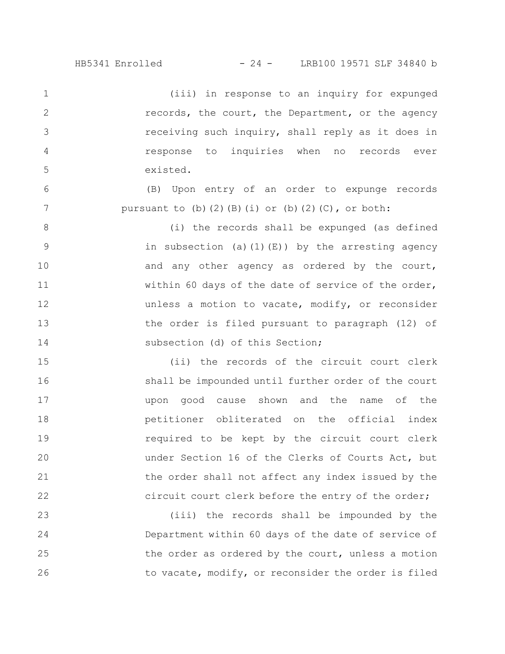(iii) in response to an inquiry for expunged records, the court, the Department, or the agency receiving such inquiry, shall reply as it does in response to inquiries when no records ever existed. 1 2 3 4 5

(B) Upon entry of an order to expunge records pursuant to  $(b)$   $(2)$   $(B)$   $(i)$  or  $(b)$   $(2)$   $(C)$ , or both:

6

7

(i) the records shall be expunged (as defined in subsection (a)(1)(E)) by the arresting agency and any other agency as ordered by the court, within 60 days of the date of service of the order, unless a motion to vacate, modify, or reconsider the order is filed pursuant to paragraph (12) of subsection (d) of this Section; 8 9 10 11 12 13 14

(ii) the records of the circuit court clerk shall be impounded until further order of the court upon good cause shown and the name of the petitioner obliterated on the official index required to be kept by the circuit court clerk under Section 16 of the Clerks of Courts Act, but the order shall not affect any index issued by the circuit court clerk before the entry of the order; 15 16 17 18 19 20 21 22

(iii) the records shall be impounded by the Department within 60 days of the date of service of the order as ordered by the court, unless a motion to vacate, modify, or reconsider the order is filed 23 24 25 26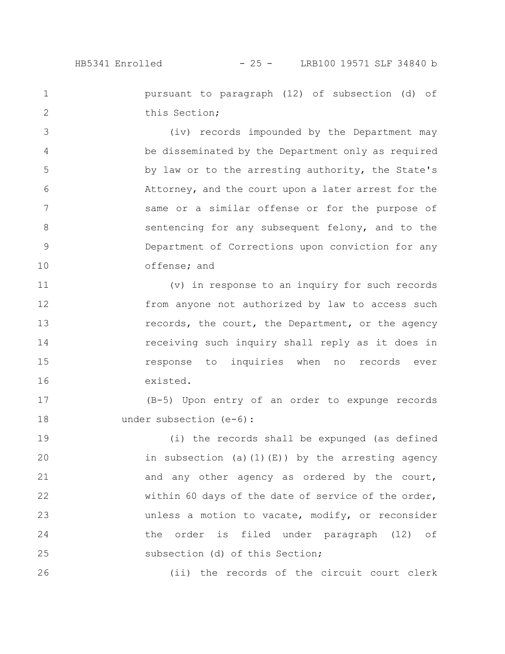1

2

26

pursuant to paragraph (12) of subsection (d) of this Section;

(iv) records impounded by the Department may be disseminated by the Department only as required by law or to the arresting authority, the State's Attorney, and the court upon a later arrest for the same or a similar offense or for the purpose of sentencing for any subsequent felony, and to the Department of Corrections upon conviction for any offense; and 3 4 5 6 7 8 9 10

(v) in response to an inquiry for such records from anyone not authorized by law to access such records, the court, the Department, or the agency receiving such inquiry shall reply as it does in response to inquiries when no records ever existed. 11 12 13 14 15 16

(B-5) Upon entry of an order to expunge records under subsection (e-6): 17 18

(i) the records shall be expunged (as defined in subsection (a)(1)(E)) by the arresting agency and any other agency as ordered by the court, within 60 days of the date of service of the order, unless a motion to vacate, modify, or reconsider the order is filed under paragraph (12) of subsection (d) of this Section; 19 20 21 22 23 24 25

(ii) the records of the circuit court clerk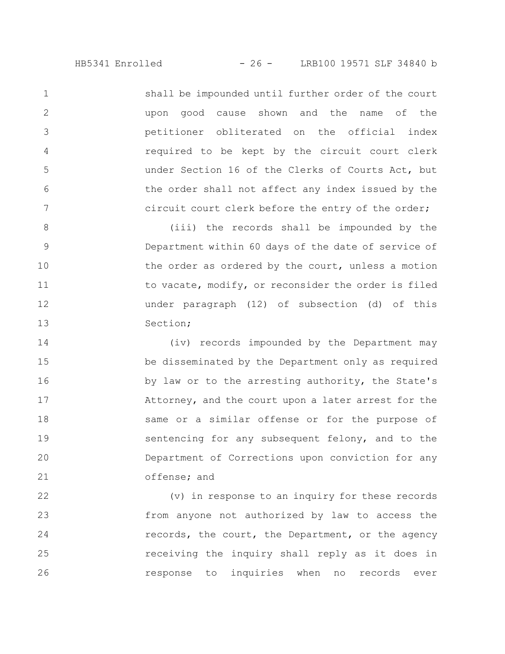shall be impounded until further order of the court upon good cause shown and the name of the petitioner obliterated on the official index required to be kept by the circuit court clerk under Section 16 of the Clerks of Courts Act, but the order shall not affect any index issued by the circuit court clerk before the entry of the order;

1

2

3

4

5

6

7

(iii) the records shall be impounded by the Department within 60 days of the date of service of the order as ordered by the court, unless a motion to vacate, modify, or reconsider the order is filed under paragraph (12) of subsection (d) of this Section; 8 9 10 11 12 13

(iv) records impounded by the Department may be disseminated by the Department only as required by law or to the arresting authority, the State's Attorney, and the court upon a later arrest for the same or a similar offense or for the purpose of sentencing for any subsequent felony, and to the Department of Corrections upon conviction for any offense; and 14 15 16 17 18 19 20 21

(v) in response to an inquiry for these records from anyone not authorized by law to access the records, the court, the Department, or the agency receiving the inquiry shall reply as it does in response to inquiries when no records ever 22 23 24 25 26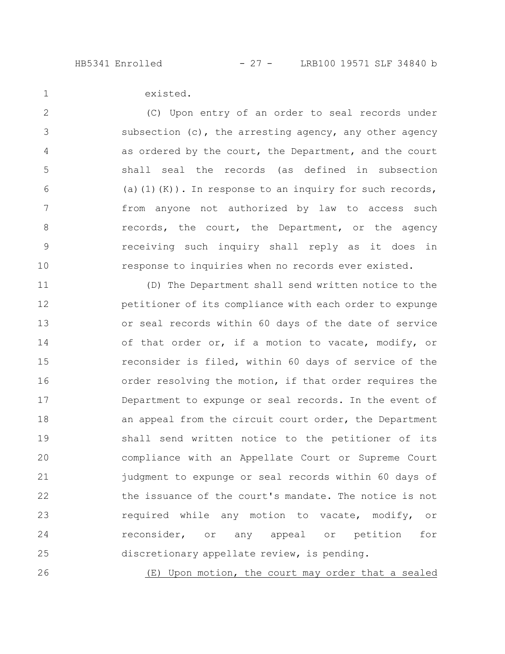1

existed.

(C) Upon entry of an order to seal records under subsection (c), the arresting agency, any other agency as ordered by the court, the Department, and the court shall seal the records (as defined in subsection (a)(1)(K)). In response to an inquiry for such records, from anyone not authorized by law to access such records, the court, the Department, or the agency receiving such inquiry shall reply as it does in response to inquiries when no records ever existed. 2 3 4 5 6 7 8 9 10

(D) The Department shall send written notice to the petitioner of its compliance with each order to expunge or seal records within 60 days of the date of service of that order or, if a motion to vacate, modify, or reconsider is filed, within 60 days of service of the order resolving the motion, if that order requires the Department to expunge or seal records. In the event of an appeal from the circuit court order, the Department shall send written notice to the petitioner of its compliance with an Appellate Court or Supreme Court judgment to expunge or seal records within 60 days of the issuance of the court's mandate. The notice is not required while any motion to vacate, modify, or reconsider, or any appeal or petition for discretionary appellate review, is pending. 11 12 13 14 15 16 17 18 19 20 21 22 23 24 25

(E) Upon motion, the court may order that a sealed 26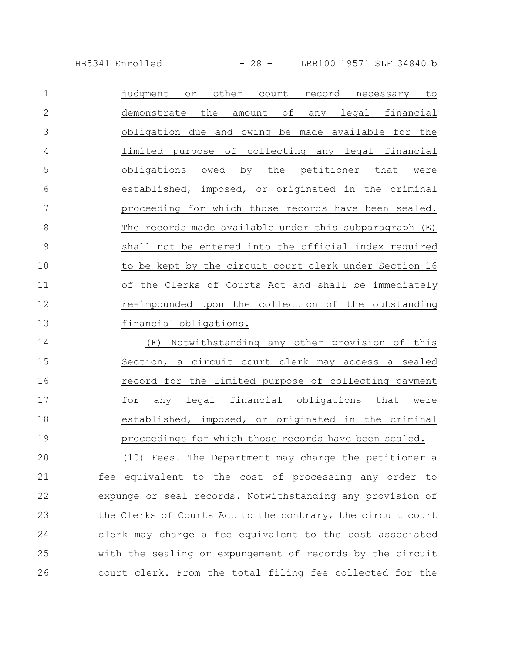HB5341 Enrolled - 28 - LRB100 19571 SLF 34840 b

| 1  | other<br>judgment<br>court<br>record<br>or.<br>necessary<br>to  |
|----|-----------------------------------------------------------------|
| 2  | financial<br>demonstrate<br>the<br>of<br>legal<br>amount<br>any |
| 3  | obligation due and owing be made available for the              |
| 4  | limited purpose of collecting any legal financial               |
| 5  | by the petitioner that<br>obligations<br>owed<br>were           |
| 6  | established, imposed, or originated in the criminal             |
| 7  | proceeding for which those records have been sealed.            |
| 8  | The records made available under this subparagraph (E)          |
| 9  | shall not be entered into the official index required           |
| 10 | to be kept by the circuit court clerk under Section 16          |
| 11 | of the Clerks of Courts Act and shall be immediately            |
| 12 | re-impounded upon the collection of the outstanding             |
| 13 | financial obligations.                                          |

(F) Notwithstanding any other provision of this Section, a circuit court clerk may access a sealed record for the limited purpose of collecting payment for any legal financial obligations that were established, imposed, or originated in the criminal proceedings for which those records have been sealed. 14 15 16 17 18 19

(10) Fees. The Department may charge the petitioner a fee equivalent to the cost of processing any order to expunge or seal records. Notwithstanding any provision of the Clerks of Courts Act to the contrary, the circuit court clerk may charge a fee equivalent to the cost associated with the sealing or expungement of records by the circuit court clerk. From the total filing fee collected for the 20 21 22 23 24 25 26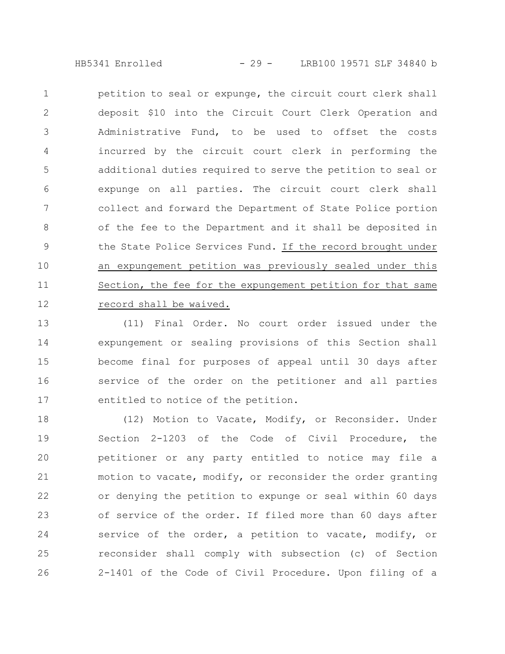HB5341 Enrolled - 29 - LRB100 19571 SLF 34840 b

petition to seal or expunge, the circuit court clerk shall deposit \$10 into the Circuit Court Clerk Operation and Administrative Fund, to be used to offset the costs incurred by the circuit court clerk in performing the additional duties required to serve the petition to seal or expunge on all parties. The circuit court clerk shall collect and forward the Department of State Police portion of the fee to the Department and it shall be deposited in the State Police Services Fund. If the record brought under an expungement petition was previously sealed under this Section, the fee for the expungement petition for that same record shall be waived. 1 2 3 4 5 6 7 8 9 10 11 12

(11) Final Order. No court order issued under the expungement or sealing provisions of this Section shall become final for purposes of appeal until 30 days after service of the order on the petitioner and all parties entitled to notice of the petition. 13 14 15 16 17

(12) Motion to Vacate, Modify, or Reconsider. Under Section 2-1203 of the Code of Civil Procedure, the petitioner or any party entitled to notice may file a motion to vacate, modify, or reconsider the order granting or denying the petition to expunge or seal within 60 days of service of the order. If filed more than 60 days after service of the order, a petition to vacate, modify, or reconsider shall comply with subsection (c) of Section 2-1401 of the Code of Civil Procedure. Upon filing of a 18 19 20 21 22 23 24 25 26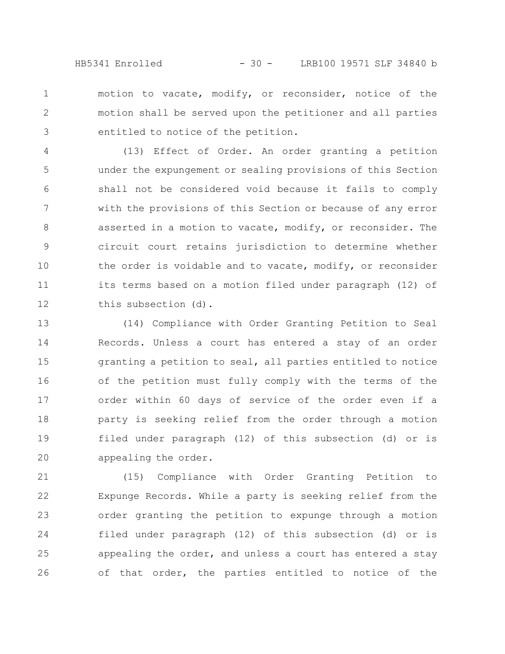HB5341 Enrolled - 30 - LRB100 19571 SLF 34840 b

motion to vacate, modify, or reconsider, notice of the motion shall be served upon the petitioner and all parties entitled to notice of the petition. 1 2 3

(13) Effect of Order. An order granting a petition under the expungement or sealing provisions of this Section shall not be considered void because it fails to comply with the provisions of this Section or because of any error asserted in a motion to vacate, modify, or reconsider. The circuit court retains jurisdiction to determine whether the order is voidable and to vacate, modify, or reconsider its terms based on a motion filed under paragraph (12) of this subsection (d). 4 5 6 7 8 9 10 11 12

(14) Compliance with Order Granting Petition to Seal Records. Unless a court has entered a stay of an order granting a petition to seal, all parties entitled to notice of the petition must fully comply with the terms of the order within 60 days of service of the order even if a party is seeking relief from the order through a motion filed under paragraph (12) of this subsection (d) or is appealing the order. 13 14 15 16 17 18 19 20

(15) Compliance with Order Granting Petition to Expunge Records. While a party is seeking relief from the order granting the petition to expunge through a motion filed under paragraph (12) of this subsection (d) or is appealing the order, and unless a court has entered a stay of that order, the parties entitled to notice of the 21 22 23 24 25 26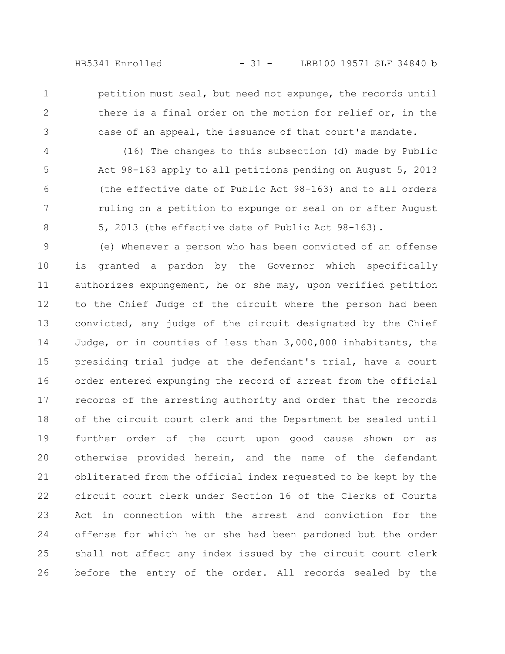1 2

3

petition must seal, but need not expunge, the records until there is a final order on the motion for relief or, in the case of an appeal, the issuance of that court's mandate.

(16) The changes to this subsection (d) made by Public Act 98-163 apply to all petitions pending on August 5, 2013 (the effective date of Public Act 98-163) and to all orders ruling on a petition to expunge or seal on or after August 5, 2013 (the effective date of Public Act 98-163). 4 5 6 7 8

(e) Whenever a person who has been convicted of an offense is granted a pardon by the Governor which specifically authorizes expungement, he or she may, upon verified petition to the Chief Judge of the circuit where the person had been convicted, any judge of the circuit designated by the Chief Judge, or in counties of less than 3,000,000 inhabitants, the presiding trial judge at the defendant's trial, have a court order entered expunging the record of arrest from the official records of the arresting authority and order that the records of the circuit court clerk and the Department be sealed until further order of the court upon good cause shown or as otherwise provided herein, and the name of the defendant obliterated from the official index requested to be kept by the circuit court clerk under Section 16 of the Clerks of Courts Act in connection with the arrest and conviction for the offense for which he or she had been pardoned but the order shall not affect any index issued by the circuit court clerk before the entry of the order. All records sealed by the 9 10 11 12 13 14 15 16 17 18 19 20 21 22 23 24 25 26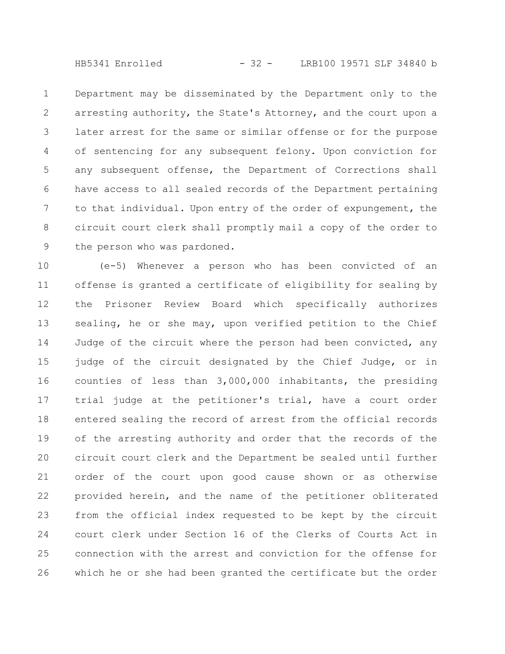HB5341 Enrolled - 32 - LRB100 19571 SLF 34840 b

Department may be disseminated by the Department only to the arresting authority, the State's Attorney, and the court upon a later arrest for the same or similar offense or for the purpose of sentencing for any subsequent felony. Upon conviction for any subsequent offense, the Department of Corrections shall have access to all sealed records of the Department pertaining to that individual. Upon entry of the order of expungement, the circuit court clerk shall promptly mail a copy of the order to the person who was pardoned. 1 2 3 4 5 6 7 8 9

(e-5) Whenever a person who has been convicted of an offense is granted a certificate of eligibility for sealing by the Prisoner Review Board which specifically authorizes sealing, he or she may, upon verified petition to the Chief Judge of the circuit where the person had been convicted, any judge of the circuit designated by the Chief Judge, or in counties of less than 3,000,000 inhabitants, the presiding trial judge at the petitioner's trial, have a court order entered sealing the record of arrest from the official records of the arresting authority and order that the records of the circuit court clerk and the Department be sealed until further order of the court upon good cause shown or as otherwise provided herein, and the name of the petitioner obliterated from the official index requested to be kept by the circuit court clerk under Section 16 of the Clerks of Courts Act in connection with the arrest and conviction for the offense for which he or she had been granted the certificate but the order 10 11 12 13 14 15 16 17 18 19 20 21 22 23 24 25 26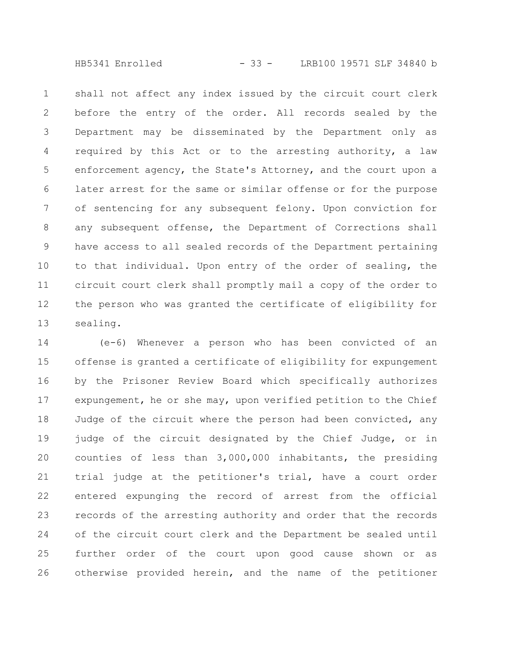HB5341 Enrolled - 33 - LRB100 19571 SLF 34840 b

shall not affect any index issued by the circuit court clerk before the entry of the order. All records sealed by the Department may be disseminated by the Department only as required by this Act or to the arresting authority, a law enforcement agency, the State's Attorney, and the court upon a later arrest for the same or similar offense or for the purpose of sentencing for any subsequent felony. Upon conviction for any subsequent offense, the Department of Corrections shall have access to all sealed records of the Department pertaining to that individual. Upon entry of the order of sealing, the circuit court clerk shall promptly mail a copy of the order to the person who was granted the certificate of eligibility for sealing. 1 2 3 4 5 6 7 8 9 10 11 12 13

(e-6) Whenever a person who has been convicted of an offense is granted a certificate of eligibility for expungement by the Prisoner Review Board which specifically authorizes expungement, he or she may, upon verified petition to the Chief Judge of the circuit where the person had been convicted, any judge of the circuit designated by the Chief Judge, or in counties of less than 3,000,000 inhabitants, the presiding trial judge at the petitioner's trial, have a court order entered expunging the record of arrest from the official records of the arresting authority and order that the records of the circuit court clerk and the Department be sealed until further order of the court upon good cause shown or as otherwise provided herein, and the name of the petitioner 14 15 16 17 18 19 20 21 22 23 24 25 26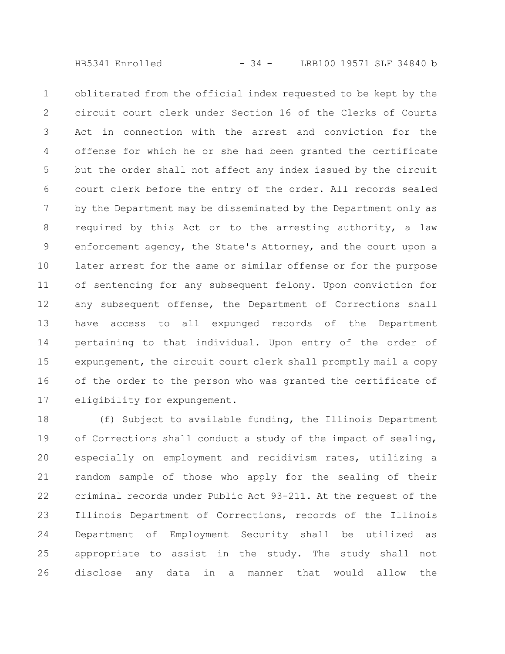HB5341 Enrolled - 34 - LRB100 19571 SLF 34840 b

obliterated from the official index requested to be kept by the circuit court clerk under Section 16 of the Clerks of Courts Act in connection with the arrest and conviction for the offense for which he or she had been granted the certificate but the order shall not affect any index issued by the circuit court clerk before the entry of the order. All records sealed by the Department may be disseminated by the Department only as required by this Act or to the arresting authority, a law enforcement agency, the State's Attorney, and the court upon a later arrest for the same or similar offense or for the purpose of sentencing for any subsequent felony. Upon conviction for any subsequent offense, the Department of Corrections shall have access to all expunged records of the Department pertaining to that individual. Upon entry of the order of expungement, the circuit court clerk shall promptly mail a copy of the order to the person who was granted the certificate of eligibility for expungement. 1 2 3 4 5 6 7 8 9 10 11 12 13 14 15 16 17

(f) Subject to available funding, the Illinois Department of Corrections shall conduct a study of the impact of sealing, especially on employment and recidivism rates, utilizing a random sample of those who apply for the sealing of their criminal records under Public Act 93-211. At the request of the Illinois Department of Corrections, records of the Illinois Department of Employment Security shall be utilized as appropriate to assist in the study. The study shall not disclose any data in a manner that would allow the 18 19 20 21 22 23 24 25 26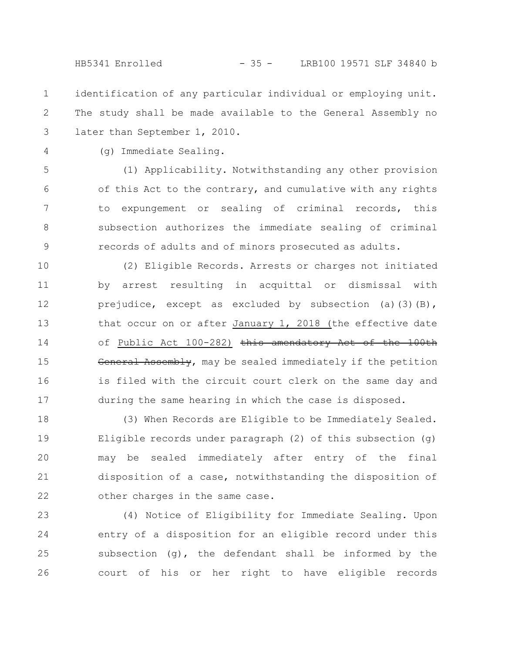HB5341 Enrolled - 35 - LRB100 19571 SLF 34840 b

identification of any particular individual or employing unit. The study shall be made available to the General Assembly no later than September 1, 2010. 1 2 3

4

(g) Immediate Sealing.

(1) Applicability. Notwithstanding any other provision of this Act to the contrary, and cumulative with any rights to expungement or sealing of criminal records, this subsection authorizes the immediate sealing of criminal records of adults and of minors prosecuted as adults. 5 6 7 8 9

(2) Eligible Records. Arrests or charges not initiated by arrest resulting in acquittal or dismissal with prejudice, except as excluded by subsection (a)(3)(B), that occur on or after January 1, 2018 (the effective date of Public Act 100-282) this amendatory Act of the 100th General Assembly, may be sealed immediately if the petition is filed with the circuit court clerk on the same day and during the same hearing in which the case is disposed. 10 11 12 13 14 15 16 17

(3) When Records are Eligible to be Immediately Sealed. Eligible records under paragraph (2) of this subsection (g) may be sealed immediately after entry of the final disposition of a case, notwithstanding the disposition of other charges in the same case. 18 19 20 21 22

(4) Notice of Eligibility for Immediate Sealing. Upon entry of a disposition for an eligible record under this subsection  $(q)$ , the defendant shall be informed by the court of his or her right to have eligible records 23 24 25 26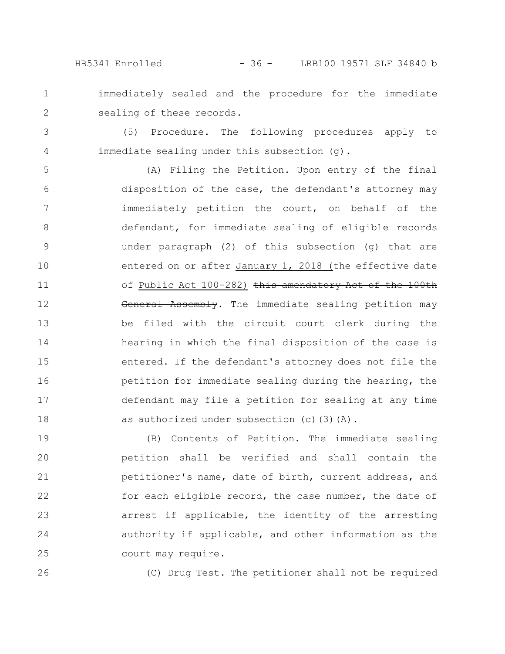1

2

3

4

- immediately sealed and the procedure for the immediate sealing of these records.
- (5) Procedure. The following procedures apply to immediate sealing under this subsection (g).

(A) Filing the Petition. Upon entry of the final disposition of the case, the defendant's attorney may immediately petition the court, on behalf of the defendant, for immediate sealing of eligible records under paragraph (2) of this subsection (g) that are entered on or after January 1, 2018 (the effective date of Public Act 100-282) this amendatory Act of the 100th General Assembly. The immediate sealing petition may be filed with the circuit court clerk during the hearing in which the final disposition of the case is entered. If the defendant's attorney does not file the petition for immediate sealing during the hearing, the defendant may file a petition for sealing at any time as authorized under subsection (c)(3)(A). 5 6 7 8 9 10 11 12 13 14 15 16 17 18

(B) Contents of Petition. The immediate sealing petition shall be verified and shall contain the petitioner's name, date of birth, current address, and for each eligible record, the case number, the date of arrest if applicable, the identity of the arresting authority if applicable, and other information as the court may require. 19 20 21 22 23 24 25

26

(C) Drug Test. The petitioner shall not be required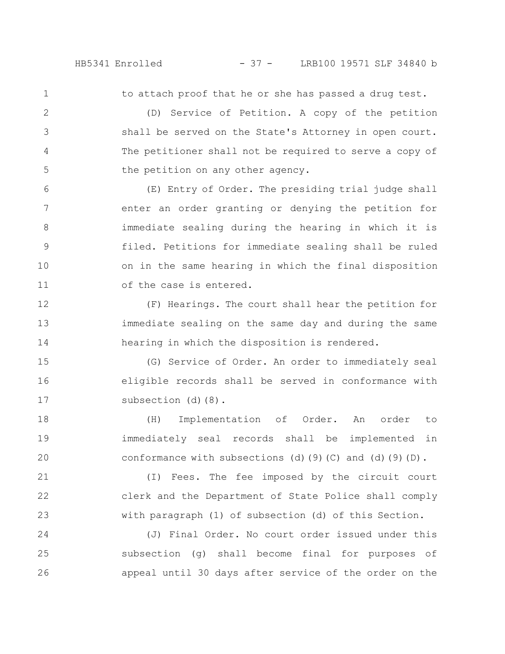1 2

3

4

5

21

22

23

to attach proof that he or she has passed a drug test.

(D) Service of Petition. A copy of the petition shall be served on the State's Attorney in open court. The petitioner shall not be required to serve a copy of the petition on any other agency.

(E) Entry of Order. The presiding trial judge shall enter an order granting or denying the petition for immediate sealing during the hearing in which it is filed. Petitions for immediate sealing shall be ruled on in the same hearing in which the final disposition of the case is entered. 6 7 8 9 10 11

(F) Hearings. The court shall hear the petition for immediate sealing on the same day and during the same hearing in which the disposition is rendered. 12 13 14

(G) Service of Order. An order to immediately seal eligible records shall be served in conformance with subsection (d)(8). 15 16 17

(H) Implementation of Order. An order to immediately seal records shall be implemented in conformance with subsections (d)(9)(C) and (d)(9)(D). 18 19 20

(I) Fees. The fee imposed by the circuit court clerk and the Department of State Police shall comply with paragraph (1) of subsection (d) of this Section.

(J) Final Order. No court order issued under this subsection (g) shall become final for purposes of appeal until 30 days after service of the order on the 24 25 26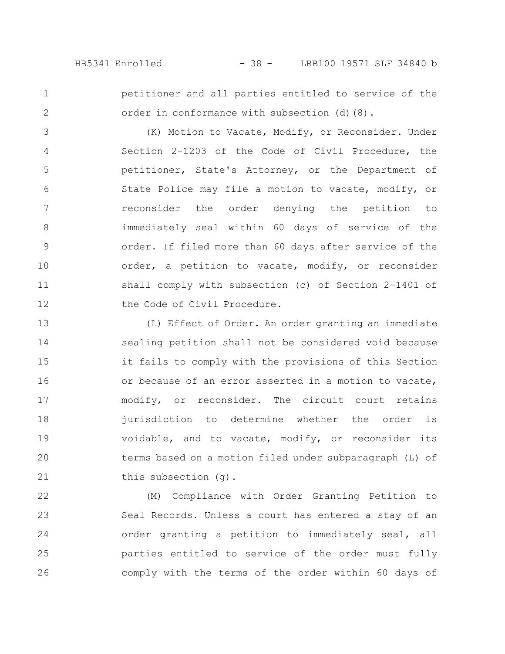HB5341 Enrolled - 38 - LRB100 19571 SLF 34840 b

1

2

petitioner and all parties entitled to service of the order in conformance with subsection (d)(8).

(K) Motion to Vacate, Modify, or Reconsider. Under Section 2-1203 of the Code of Civil Procedure, the petitioner, State's Attorney, or the Department of State Police may file a motion to vacate, modify, or reconsider the order denying the petition to immediately seal within 60 days of service of the order. If filed more than 60 days after service of the order, a petition to vacate, modify, or reconsider shall comply with subsection (c) of Section 2-1401 of the Code of Civil Procedure. 3 4 5 6 7 8 9 10 11 12

(L) Effect of Order. An order granting an immediate sealing petition shall not be considered void because it fails to comply with the provisions of this Section or because of an error asserted in a motion to vacate, modify, or reconsider. The circuit court retains jurisdiction to determine whether the order is voidable, and to vacate, modify, or reconsider its terms based on a motion filed under subparagraph (L) of this subsection (g). 13 14 15 16 17 18 19 20 21

(M) Compliance with Order Granting Petition to Seal Records. Unless a court has entered a stay of an order granting a petition to immediately seal, all parties entitled to service of the order must fully comply with the terms of the order within 60 days of 22 23 24 25 26